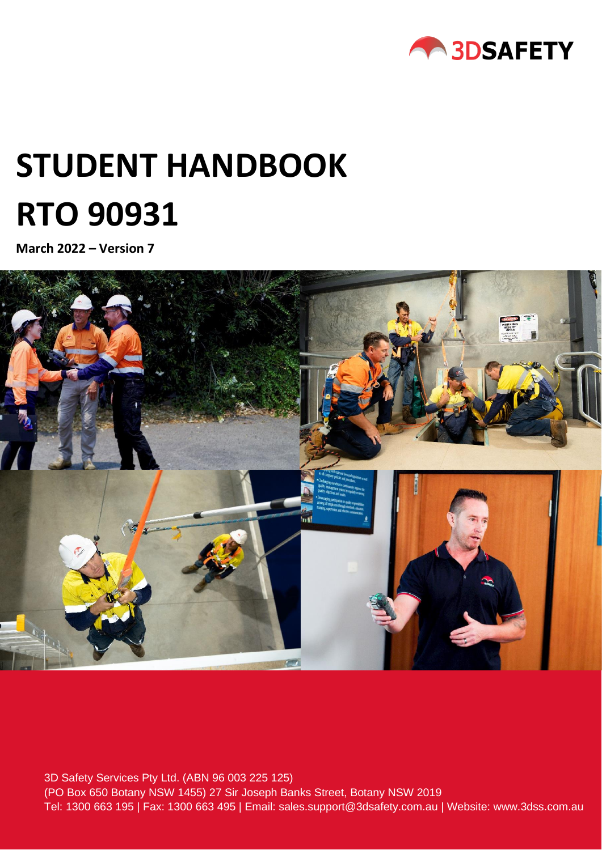

# **STUDENT HANDBOOK RTO 90931**

**March 2022 – Version 7**



Tel: 1300 663 195 | Fax: 1300 663 495 | Email: sales.support@3dsafety.com.au | Website: www.3dss.com.au 3D Safety Services Pty Ltd. (ABN 96 003 225 125) (PO Box 650 Botany NSW 1455) 27 Sir Joseph Banks Street, Botany NSW 2019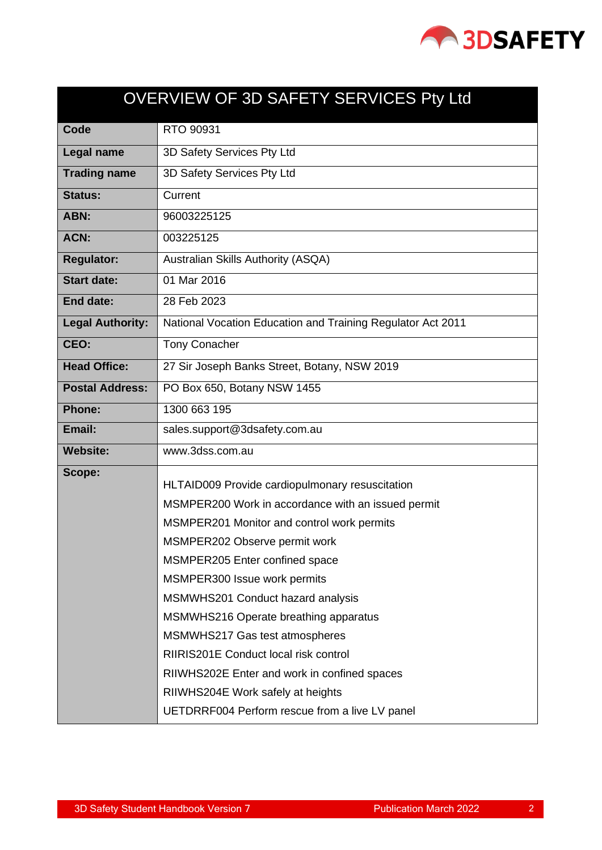

<span id="page-1-0"></span>

| OVERVIEW OF 3D SAFETY SERVICES Pty Ltd |                                                             |  |  |
|----------------------------------------|-------------------------------------------------------------|--|--|
| Code                                   | RTO 90931                                                   |  |  |
| Legal name                             | 3D Safety Services Pty Ltd                                  |  |  |
| <b>Trading name</b>                    | 3D Safety Services Pty Ltd                                  |  |  |
| <b>Status:</b>                         | Current                                                     |  |  |
| ABN:                                   | 96003225125                                                 |  |  |
| <b>ACN:</b>                            | 003225125                                                   |  |  |
| <b>Regulator:</b>                      | Australian Skills Authority (ASQA)                          |  |  |
| <b>Start date:</b>                     | 01 Mar 2016                                                 |  |  |
| End date:                              | 28 Feb 2023                                                 |  |  |
| <b>Legal Authority:</b>                | National Vocation Education and Training Regulator Act 2011 |  |  |
| CEO:                                   | <b>Tony Conacher</b>                                        |  |  |
| <b>Head Office:</b>                    | 27 Sir Joseph Banks Street, Botany, NSW 2019                |  |  |
| <b>Postal Address:</b>                 | PO Box 650, Botany NSW 1455                                 |  |  |
| <b>Phone:</b>                          | 1300 663 195                                                |  |  |
| Email:                                 | sales.support@3dsafety.com.au                               |  |  |
| <b>Website:</b>                        | www.3dss.com.au                                             |  |  |
| Scope:                                 | HLTAID009 Provide cardiopulmonary resuscitation             |  |  |
|                                        | MSMPER200 Work in accordance with an issued permit          |  |  |
|                                        | MSMPER201 Monitor and control work permits                  |  |  |
|                                        | MSMPER202 Observe permit work                               |  |  |
|                                        | MSMPER205 Enter confined space                              |  |  |
|                                        | MSMPER300 Issue work permits                                |  |  |
|                                        | MSMWHS201 Conduct hazard analysis                           |  |  |
|                                        | MSMWHS216 Operate breathing apparatus                       |  |  |
|                                        | MSMWHS217 Gas test atmospheres                              |  |  |
|                                        | RIIRIS201E Conduct local risk control                       |  |  |
|                                        | RIIWHS202E Enter and work in confined spaces                |  |  |
|                                        | RIIWHS204E Work safely at heights                           |  |  |
|                                        | UETDRRF004 Perform rescue from a live LV panel              |  |  |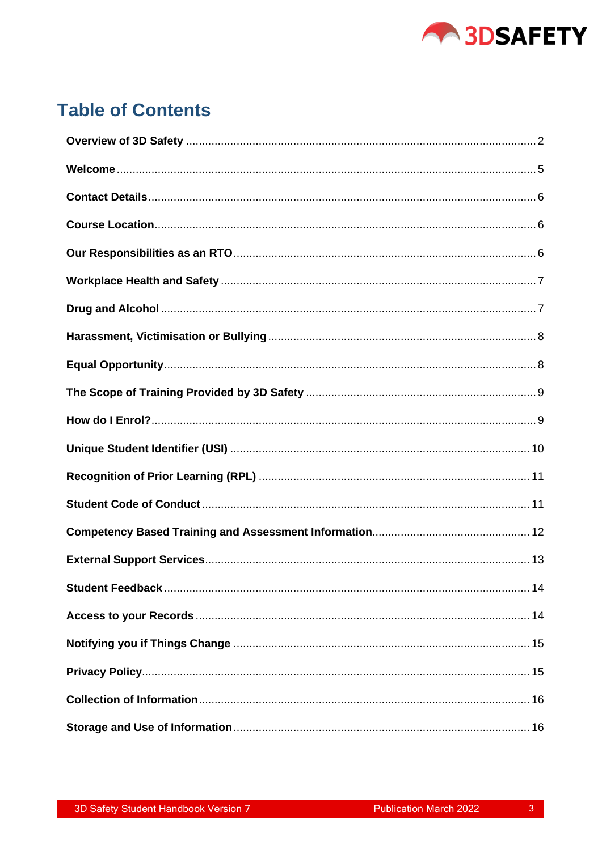

# **Table of Contents**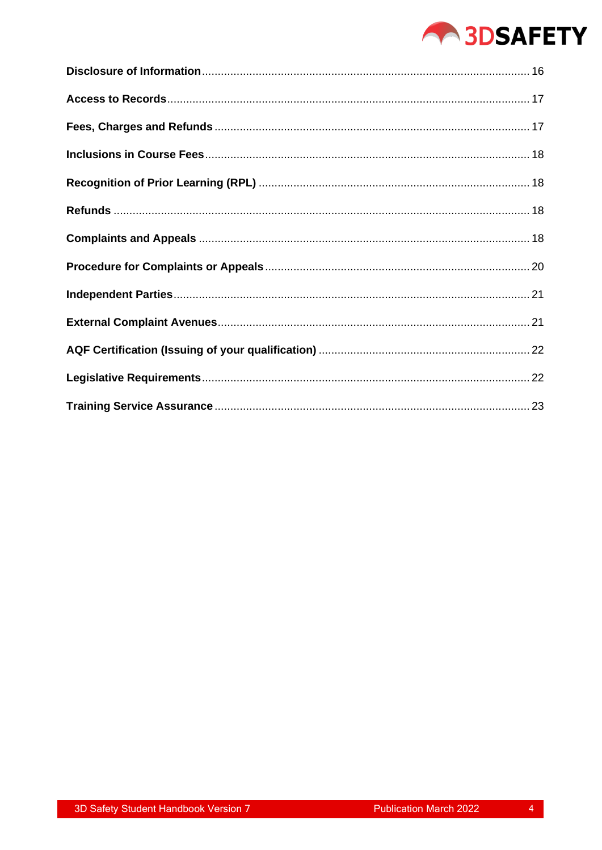# **ABSAFETY**

 $\overline{4}$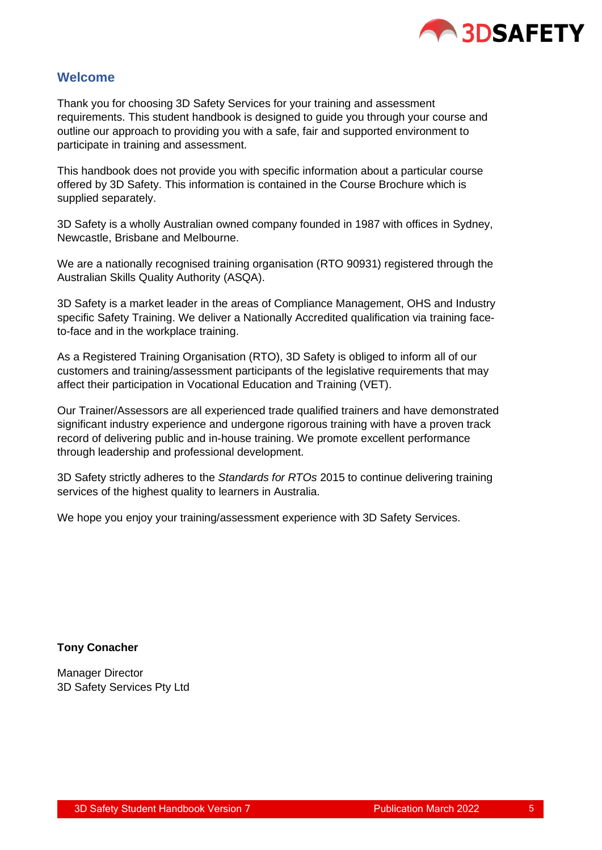

# <span id="page-4-0"></span>**Welcome**

Thank you for choosing 3D Safety Services for your training and assessment requirements. This student handbook is designed to guide you through your course and outline our approach to providing you with a safe, fair and supported environment to participate in training and assessment.

This handbook does not provide you with specific information about a particular course offered by 3D Safety. This information is contained in the Course Brochure which is supplied separately.

3D Safety is a wholly Australian owned company founded in 1987 with offices in Sydney, Newcastle, Brisbane and Melbourne.

We are a nationally recognised training organisation (RTO 90931) registered through the Australian Skills Quality Authority (ASQA).

3D Safety is a market leader in the areas of Compliance Management, OHS and Industry specific Safety Training. We deliver a Nationally Accredited qualification via training faceto-face and in the workplace training.

As a Registered Training Organisation (RTO), 3D Safety is obliged to inform all of our customers and training/assessment participants of the legislative requirements that may affect their participation in Vocational Education and Training (VET).

Our Trainer/Assessors are all experienced trade qualified trainers and have demonstrated significant industry experience and undergone rigorous training with have a proven track record of delivering public and in-house training. We promote excellent performance through leadership and professional development.

3D Safety strictly adheres to the *Standards for RTOs* 2015 to continue delivering training services of the highest quality to learners in Australia.

We hope you enjoy your training/assessment experience with 3D Safety Services.

#### **Tony Conacher**

Manager Director 3D Safety Services Pty Ltd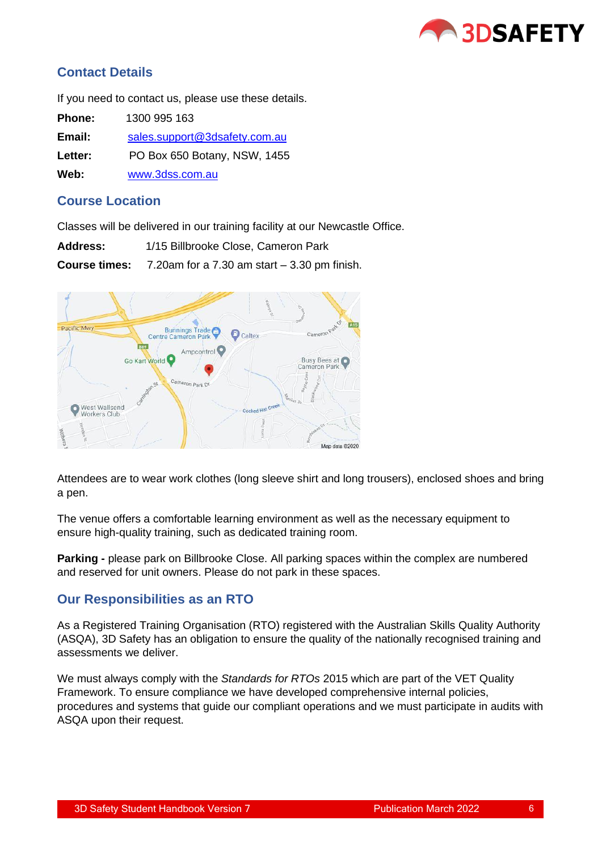

# <span id="page-5-0"></span>**Contact Details**

If you need to contact us, please use these details.

| <b>Phone:</b> | 1300 995 163                  |
|---------------|-------------------------------|
| Email:        | sales.support@3dsafety.com.au |
| Letter:       | PO Box 650 Botany, NSW, 1455  |
| Web:          | www.3dss.com.au               |

# <span id="page-5-1"></span>**Course Location**

Classes will be delivered in our training facility at our Newcastle Office.

| <b>Address:</b>      | 1/15 Billbrooke Close, Cameron Park             |
|----------------------|-------------------------------------------------|
| <b>Course times:</b> | 7.20am for a $7.30$ am start $-3.30$ pm finish. |



Attendees are to wear work clothes (long sleeve shirt and long trousers), enclosed shoes and bring a pen.

The venue offers a comfortable learning environment as well as the necessary equipment to ensure high-quality training, such as dedicated training room.

**Parking -** please park on Billbrooke Close. All parking spaces within the complex are numbered and reserved for unit owners. Please do not park in these spaces.

# <span id="page-5-2"></span>**Our Responsibilities as an RTO**

As a Registered Training Organisation (RTO) registered with the Australian Skills Quality Authority (ASQA), 3D Safety has an obligation to ensure the quality of the nationally recognised training and assessments we deliver.

We must always comply with the *Standards for RTOs* 2015 which are part of the VET Quality Framework. To ensure compliance we have developed comprehensive internal policies, procedures and systems that guide our compliant operations and we must participate in audits with ASQA upon their request.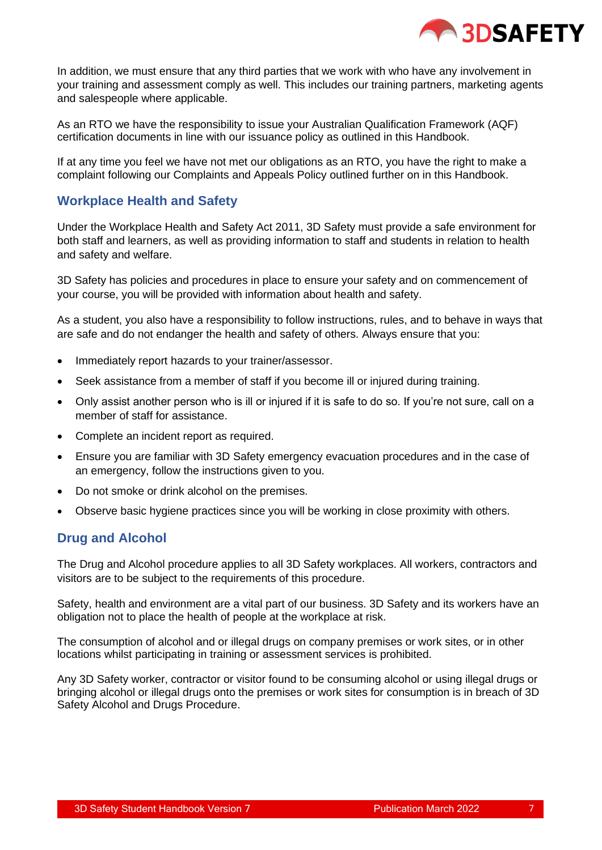

In addition, we must ensure that any third parties that we work with who have any involvement in your training and assessment comply as well. This includes our training partners, marketing agents and salespeople where applicable.

As an RTO we have the responsibility to issue your Australian Qualification Framework (AQF) certification documents in line with our issuance policy as outlined in this Handbook.

If at any time you feel we have not met our obligations as an RTO, you have the right to make a complaint following our Complaints and Appeals Policy outlined further on in this Handbook.

# <span id="page-6-0"></span>**Workplace Health and Safety**

Under the Workplace Health and Safety Act 2011, 3D Safety must provide a safe environment for both staff and learners, as well as providing information to staff and students in relation to health and safety and welfare.

3D Safety has policies and procedures in place to ensure your safety and on commencement of your course, you will be provided with information about health and safety.

As a student, you also have a responsibility to follow instructions, rules, and to behave in ways that are safe and do not endanger the health and safety of others. Always ensure that you:

- Immediately report hazards to your trainer/assessor.
- Seek assistance from a member of staff if you become ill or injured during training.
- Only assist another person who is ill or injured if it is safe to do so. If you're not sure, call on a member of staff for assistance.
- Complete an incident report as required.
- Ensure you are familiar with 3D Safety emergency evacuation procedures and in the case of an emergency, follow the instructions given to you.
- Do not smoke or drink alcohol on the premises.
- Observe basic hygiene practices since you will be working in close proximity with others.

# <span id="page-6-1"></span>**Drug and Alcohol**

The Drug and Alcohol procedure applies to all 3D Safety workplaces. All workers, contractors and visitors are to be subject to the requirements of this procedure.

Safety, health and environment are a vital part of our business. 3D Safety and its workers have an obligation not to place the health of people at the workplace at risk.

The consumption of alcohol and or illegal drugs on company premises or work sites, or in other locations whilst participating in training or assessment services is prohibited.

Any 3D Safety worker, contractor or visitor found to be consuming alcohol or using illegal drugs or bringing alcohol or illegal drugs onto the premises or work sites for consumption is in breach of 3D Safety Alcohol and Drugs Procedure.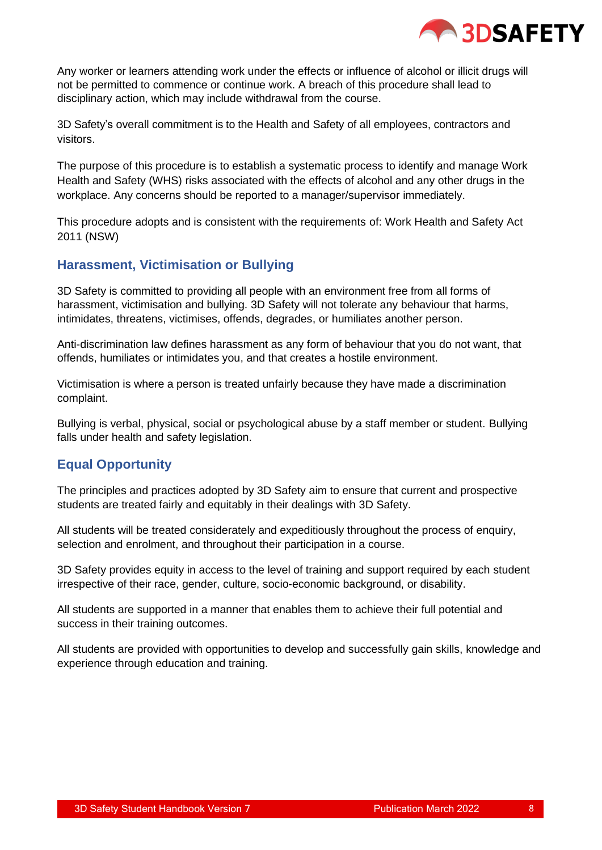

Any worker or learners attending work under the effects or influence of alcohol or illicit drugs will not be permitted to commence or continue work. A breach of this procedure shall lead to disciplinary action, which may include withdrawal from the course.

3D Safety's overall commitment is to the Health and Safety of all employees, contractors and visitors.

The purpose of this procedure is to establish a systematic process to identify and manage Work Health and Safety (WHS) risks associated with the effects of alcohol and any other drugs in the workplace. Any concerns should be reported to a manager/supervisor immediately.

This procedure adopts and is consistent with the requirements of: Work Health and Safety Act 2011 (NSW)

# <span id="page-7-0"></span>**Harassment, Victimisation or Bullying**

3D Safety is committed to providing all people with an environment free from all forms of harassment, victimisation and bullying. 3D Safety will not tolerate any behaviour that harms, intimidates, threatens, victimises, offends, degrades, or humiliates another person.

Anti-discrimination law defines harassment as any form of behaviour that you do not want, that offends, humiliates or intimidates you, and that creates a hostile environment.

Victimisation is where a person is treated unfairly because they have made a discrimination complaint.

Bullying is verbal, physical, social or psychological abuse by a staff member or student. Bullying falls under health and safety legislation.

# <span id="page-7-1"></span>**Equal Opportunity**

The principles and practices adopted by 3D Safety aim to ensure that current and prospective students are treated fairly and equitably in their dealings with 3D Safety.

All students will be treated considerately and expeditiously throughout the process of enquiry, selection and enrolment, and throughout their participation in a course.

3D Safety provides equity in access to the level of training and support required by each student irrespective of their race, gender, culture, socio-economic background, or disability.

All students are supported in a manner that enables them to achieve their full potential and success in their training outcomes.

<span id="page-7-2"></span>All students are provided with opportunities to develop and successfully gain skills, knowledge and experience through education and training.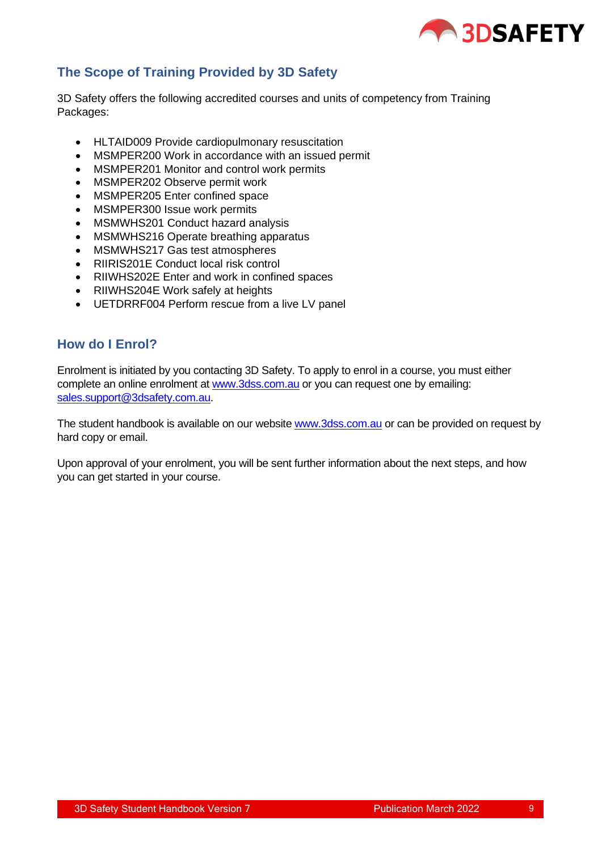

# **The Scope of Training Provided by 3D Safety**

3D Safety offers the following accredited courses and units of competency from Training Packages:

- HLTAID009 Provide cardiopulmonary resuscitation
- MSMPER200 Work in accordance with an issued permit
- MSMPER201 Monitor and control work permits
- MSMPER202 Observe permit work
- MSMPER205 Enter confined space
- MSMPER300 Issue work permits
- MSMWHS201 Conduct hazard analysis
- MSMWHS216 Operate breathing apparatus
- MSMWHS217 Gas test atmospheres
- RIIRIS201E Conduct local risk control
- RIIWHS202E Enter and work in confined spaces
- RIIWHS204E Work safely at heights
- UETDRRF004 Perform rescue from a live LV panel

#### <span id="page-8-0"></span>**How do I Enrol?**

Enrolment is initiated by you contacting 3D Safety. To apply to enrol in a course, you must either complete an online enrolment at [www.3dss.com.au](http://www.3dss.com.au/) or you can request one by emailing: [sales.support@3dsafety.com.au.](mailto:sales.support@3dsafety.com.au)

The student handbook is available on our website [www.3dss.com.au](http://www.3dss.com.au/) or can be provided on request by hard copy or email.

Upon approval of your enrolment, you will be sent further information about the next steps, and how you can get started in your course.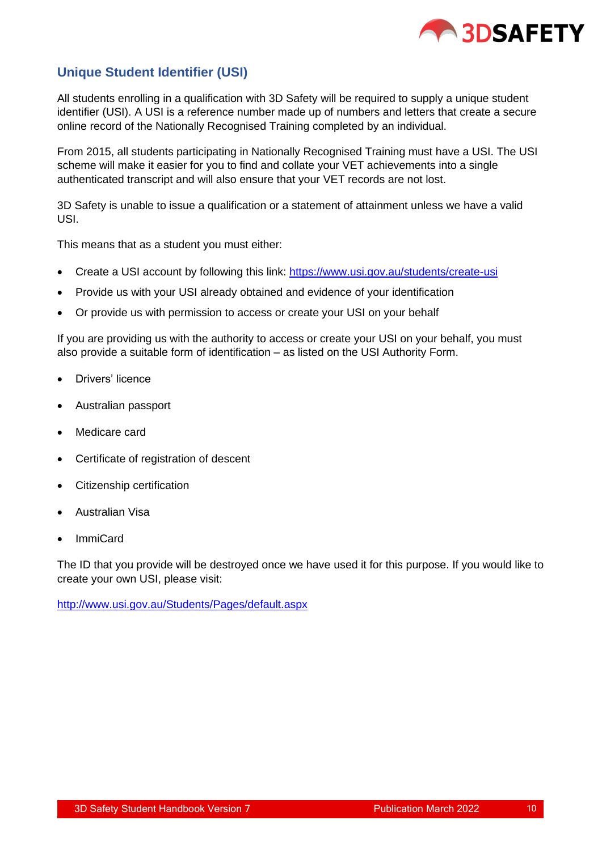

# <span id="page-9-0"></span>**Unique Student Identifier (USI)**

All students enrolling in a qualification with 3D Safety will be required to supply a unique student identifier (USI). A USI is a reference number made up of numbers and letters that create a secure online record of the Nationally Recognised Training completed by an individual.

From 2015, all students participating in Nationally Recognised Training must have a USI. The USI scheme will make it easier for you to find and collate your VET achievements into a single authenticated transcript and will also ensure that your VET records are not lost.

3D Safety is unable to issue a qualification or a statement of attainment unless we have a valid USI.

This means that as a student you must either:

- Create a USI account by following this link: <https://www.usi.gov.au/students/create-usi>
- Provide us with your USI already obtained and evidence of your identification
- Or provide us with permission to access or create your USI on your behalf

If you are providing us with the authority to access or create your USI on your behalf, you must also provide a suitable form of identification – as listed on the USI Authority Form.

- Drivers' licence
- Australian passport
- Medicare card
- Certificate of registration of descent
- Citizenship certification
- Australian Visa
- ImmiCard

The ID that you provide will be destroyed once we have used it for this purpose. If you would like to create your own USI, please visit:

<span id="page-9-1"></span><http://www.usi.gov.au/Students/Pages/default.aspx>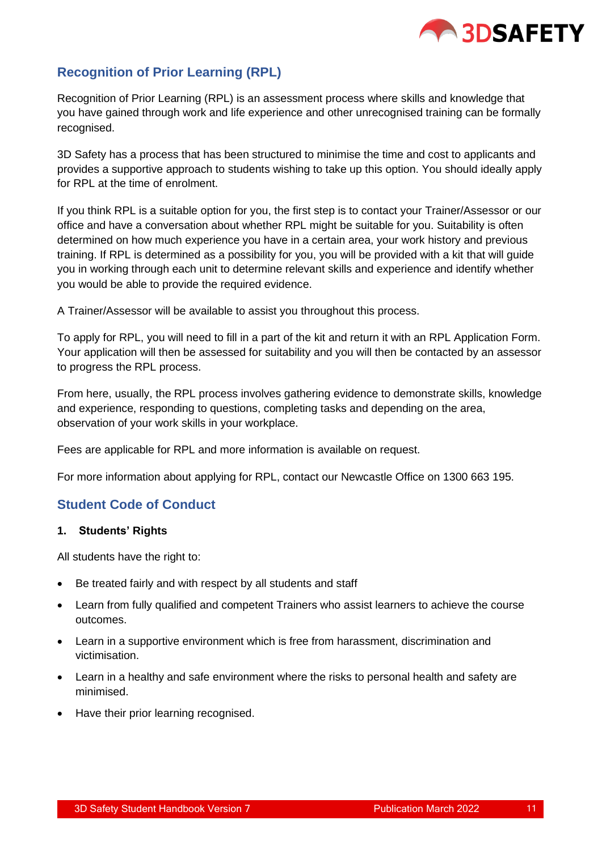

# **Recognition of Prior Learning (RPL)**

Recognition of Prior Learning (RPL) is an assessment process where skills and knowledge that you have gained through work and life experience and other unrecognised training can be formally recognised.

3D Safety has a process that has been structured to minimise the time and cost to applicants and provides a supportive approach to students wishing to take up this option. You should ideally apply for RPL at the time of enrolment.

If you think RPL is a suitable option for you, the first step is to contact your Trainer/Assessor or our office and have a conversation about whether RPL might be suitable for you. Suitability is often determined on how much experience you have in a certain area, your work history and previous training. If RPL is determined as a possibility for you, you will be provided with a kit that will guide you in working through each unit to determine relevant skills and experience and identify whether you would be able to provide the required evidence.

A Trainer/Assessor will be available to assist you throughout this process.

To apply for RPL, you will need to fill in a part of the kit and return it with an RPL Application Form. Your application will then be assessed for suitability and you will then be contacted by an assessor to progress the RPL process.

From here, usually, the RPL process involves gathering evidence to demonstrate skills, knowledge and experience, responding to questions, completing tasks and depending on the area, observation of your work skills in your workplace.

Fees are applicable for RPL and more information is available on request.

For more information about applying for RPL, contact our Newcastle Office on 1300 663 195.

# <span id="page-10-0"></span>**Student Code of Conduct**

#### **1. Students' Rights**

All students have the right to:

- Be treated fairly and with respect by all students and staff
- Learn from fully qualified and competent Trainers who assist learners to achieve the course outcomes.
- Learn in a supportive environment which is free from harassment, discrimination and victimisation.
- Learn in a healthy and safe environment where the risks to personal health and safety are minimised.
- Have their prior learning recognised.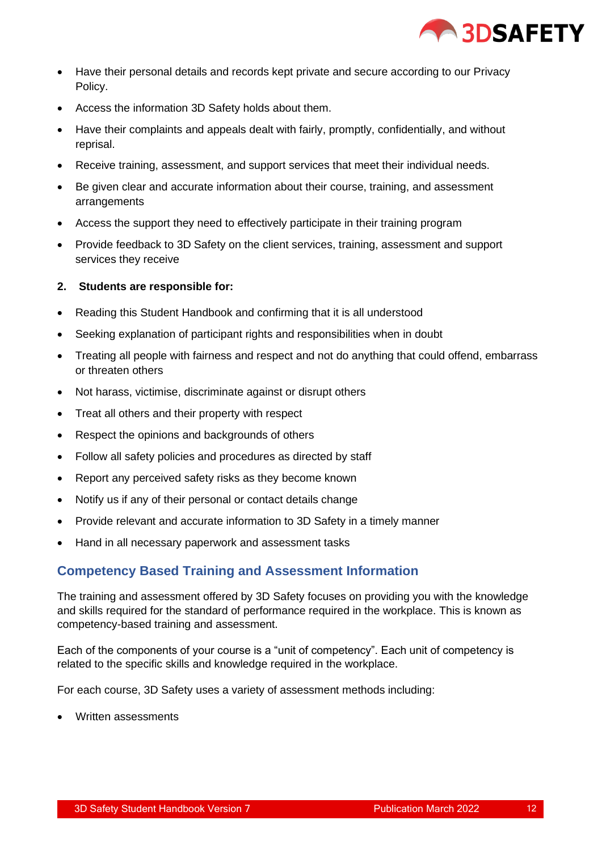

- Have their personal details and records kept private and secure according to our Privacy Policy.
- Access the information 3D Safety holds about them.
- Have their complaints and appeals dealt with fairly, promptly, confidentially, and without reprisal.
- Receive training, assessment, and support services that meet their individual needs.
- Be given clear and accurate information about their course, training, and assessment arrangements
- Access the support they need to effectively participate in their training program
- Provide feedback to 3D Safety on the client services, training, assessment and support services they receive

#### **2. Students are responsible for:**

- Reading this Student Handbook and confirming that it is all understood
- Seeking explanation of participant rights and responsibilities when in doubt
- Treating all people with fairness and respect and not do anything that could offend, embarrass or threaten others
- Not harass, victimise, discriminate against or disrupt others
- Treat all others and their property with respect
- Respect the opinions and backgrounds of others
- Follow all safety policies and procedures as directed by staff
- Report any perceived safety risks as they become known
- Notify us if any of their personal or contact details change
- Provide relevant and accurate information to 3D Safety in a timely manner
- Hand in all necessary paperwork and assessment tasks

# <span id="page-11-0"></span>**Competency Based Training and Assessment Information**

The training and assessment offered by 3D Safety focuses on providing you with the knowledge and skills required for the standard of performance required in the workplace. This is known as competency-based training and assessment.

Each of the components of your course is a "unit of competency". Each unit of competency is related to the specific skills and knowledge required in the workplace.

For each course, 3D Safety uses a variety of assessment methods including:

• Written assessments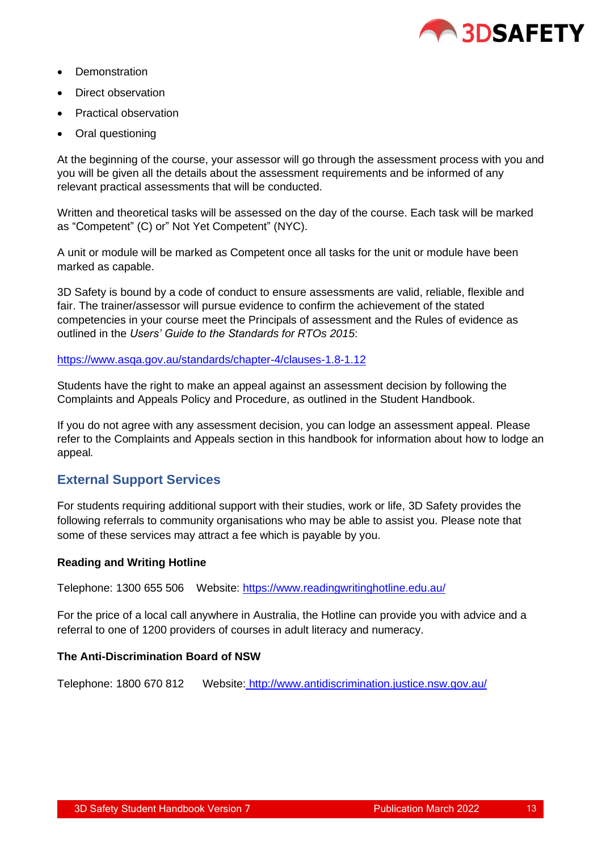

- Demonstration
- Direct observation
- Practical observation
- Oral questioning

At the beginning of the course, your assessor will go through the assessment process with you and you will be given all the details about the assessment requirements and be informed of any relevant practical assessments that will be conducted.

Written and theoretical tasks will be assessed on the day of the course. Each task will be marked as "Competent" (C) or" Not Yet Competent" (NYC).

A unit or module will be marked as Competent once all tasks for the unit or module have been marked as capable.

3D Safety is bound by a code of conduct to ensure assessments are valid, reliable, flexible and fair. The trainer/assessor will pursue evidence to confirm the achievement of the stated competencies in your course meet the Principals of assessment and the Rules of evidence as outlined in the *Users' Guide to the Standards for RTOs 2015*:

<https://www.asqa.gov.au/standards/chapter-4/clauses-1.8-1.12>

Students have the right to make an appeal against an assessment decision by following the Complaints and Appeals Policy and Procedure, as outlined in the Student Handbook.

If you do not agree with any assessment decision, you can lodge an assessment appeal. Please refer to the Complaints and Appeals section in this handbook for information about how to lodge an appeal*.*

# <span id="page-12-0"></span>**External Support Services**

For students requiring additional support with their studies, work or life, 3D Safety provides the following referrals to community organisations who may be able to assist you. Please note that some of these services may attract a fee which is payable by you.

#### **Reading and Writing Hotline**

Telephone: 1300 655 506 Website:<https://www.readingwritinghotline.edu.au/>

For the price of a local call anywhere in Australia, the Hotline can provide you with advice and a referral to one of 1200 providers of courses in adult literacy and numeracy.

#### **The Anti-Discrimination Board of NSW**

Telephone: 1800 670 812 Website: <http://www.antidiscrimination.justice.nsw.gov.au/>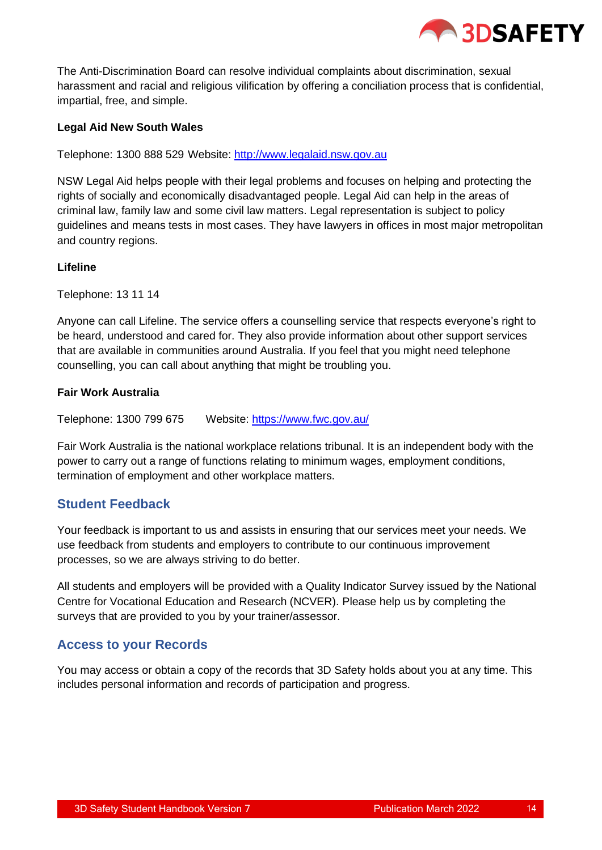

The Anti-Discrimination Board can resolve individual complaints about discrimination, sexual harassment and racial and religious vilification by offering a conciliation process that is confidential, impartial, free, and simple.

#### **Legal Aid New South Wales**

Telephone: 1300 888 529 Website: [http://www.legalaid.nsw.gov.au](http://www.legalaid.nsw.gov.au/)

NSW Legal Aid helps people with their legal problems and focuses on helping and protecting the rights of socially and economically disadvantaged people. Legal Aid can help in the areas of criminal law, family law and some civil law matters. Legal representation is subject to policy guidelines and means tests in most cases. They have lawyers in offices in most major metropolitan and country regions.

#### **Lifeline**

Telephone: 13 11 14

Anyone can call Lifeline. The service offers a counselling service that respects everyone's right to be heard, understood and cared for. They also provide information about other support services that are available in communities around Australia. If you feel that you might need telephone counselling, you can call about anything that might be troubling you.

#### **Fair Work Australia**

Telephone: 1300 799 675 Website:<https://www.fwc.gov.au/>

Fair Work Australia is the national workplace relations tribunal. It is an independent body with the power to carry out a range of functions relating to minimum wages, employment conditions, termination of employment and other workplace matters.

# <span id="page-13-0"></span>**Student Feedback**

Your feedback is important to us and assists in ensuring that our services meet your needs. We use feedback from students and employers to contribute to our continuous improvement processes, so we are always striving to do better.

All students and employers will be provided with a Quality Indicator Survey issued by the National Centre for Vocational Education and Research (NCVER). Please help us by completing the surveys that are provided to you by your trainer/assessor.

#### <span id="page-13-1"></span>**Access to your Records**

You may access or obtain a copy of the records that 3D Safety holds about you at any time. This includes personal information and records of participation and progress.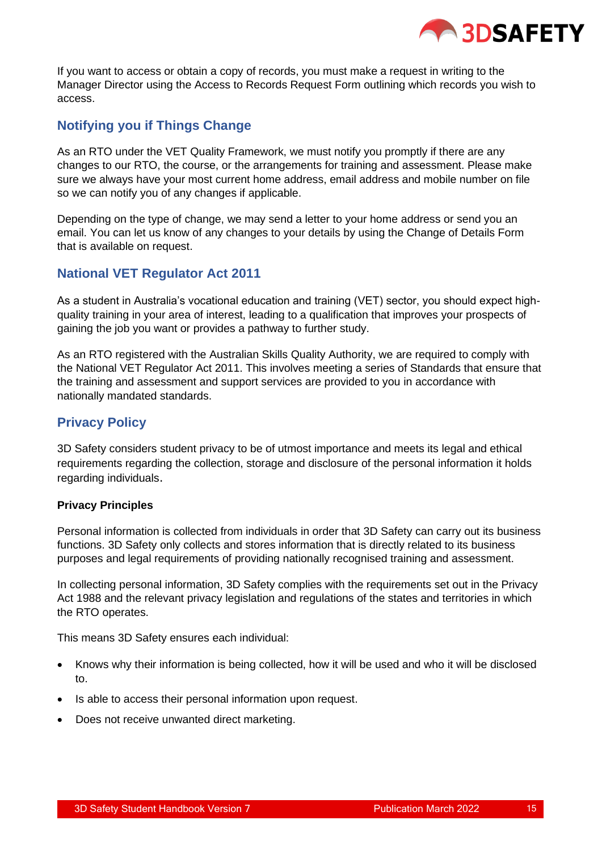

If you want to access or obtain a copy of records, you must make a request in writing to the Manager Director using the Access to Records Request Form outlining which records you wish to access.

# <span id="page-14-0"></span>**Notifying you if Things Change**

As an RTO under the VET Quality Framework, we must notify you promptly if there are any changes to our RTO, the course, or the arrangements for training and assessment. Please make sure we always have your most current home address, email address and mobile number on file so we can notify you of any changes if applicable.

Depending on the type of change, we may send a letter to your home address or send you an email. You can let us know of any changes to your details by using the Change of Details Form that is available on request.

# **National VET Regulator Act 2011**

As a student in Australia's vocational education and training (VET) sector, you should expect highquality training in your area of interest, leading to a qualification that improves your prospects of gaining the job you want or provides a pathway to further study.

As an RTO registered with the Australian Skills Quality Authority, we are required to comply with the National VET Regulator Act 2011. This involves meeting a series of Standards that ensure that the training and assessment and support services are provided to you in accordance with nationally mandated standards.

# <span id="page-14-1"></span>**Privacy Policy**

3D Safety considers student privacy to be of utmost importance and meets its legal and ethical requirements regarding the collection, storage and disclosure of the personal information it holds regarding individuals.

#### **Privacy Principles**

Personal information is collected from individuals in order that 3D Safety can carry out its business functions. 3D Safety only collects and stores information that is directly related to its business purposes and legal requirements of providing nationally recognised training and assessment.

In collecting personal information, 3D Safety complies with the requirements set out in the Privacy Act 1988 and the relevant privacy legislation and regulations of the states and territories in which the RTO operates.

This means 3D Safety ensures each individual:

- Knows why their information is being collected, how it will be used and who it will be disclosed to.
- Is able to access their personal information upon request.
- Does not receive unwanted direct marketing.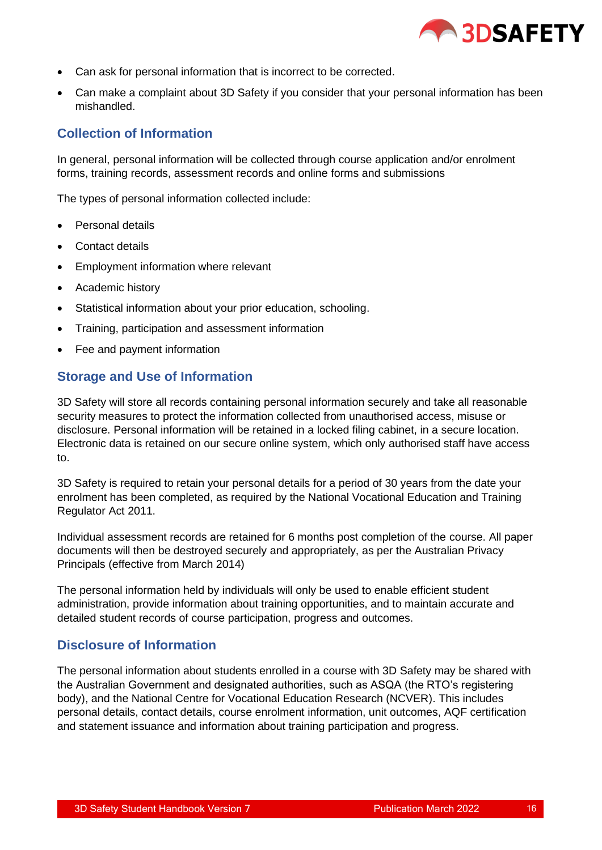

- Can ask for personal information that is incorrect to be corrected.
- Can make a complaint about 3D Safety if you consider that your personal information has been mishandled.

# <span id="page-15-0"></span>**Collection of Information**

In general, personal information will be collected through course application and/or enrolment forms, training records, assessment records and online forms and submissions

The types of personal information collected include:

- Personal details
- Contact details
- Employment information where relevant
- Academic history
- Statistical information about your prior education, schooling.
- Training, participation and assessment information
- Fee and payment information

#### <span id="page-15-1"></span>**Storage and Use of Information**

3D Safety will store all records containing personal information securely and take all reasonable security measures to protect the information collected from unauthorised access, misuse or disclosure. Personal information will be retained in a locked filing cabinet, in a secure location. Electronic data is retained on our secure online system, which only authorised staff have access to.

3D Safety is required to retain your personal details for a period of 30 years from the date your enrolment has been completed, as required by the National Vocational Education and Training Regulator Act 2011.

Individual assessment records are retained for 6 months post completion of the course. All paper documents will then be destroyed securely and appropriately, as per the Australian Privacy Principals (effective from March 2014)

The personal information held by individuals will only be used to enable efficient student administration, provide information about training opportunities, and to maintain accurate and detailed student records of course participation, progress and outcomes.

#### <span id="page-15-2"></span>**Disclosure of Information**

The personal information about students enrolled in a course with 3D Safety may be shared with the Australian Government and designated authorities, such as ASQA (the RTO's registering body), and the National Centre for Vocational Education Research (NCVER). This includes personal details, contact details, course enrolment information, unit outcomes, AQF certification and statement issuance and information about training participation and progress.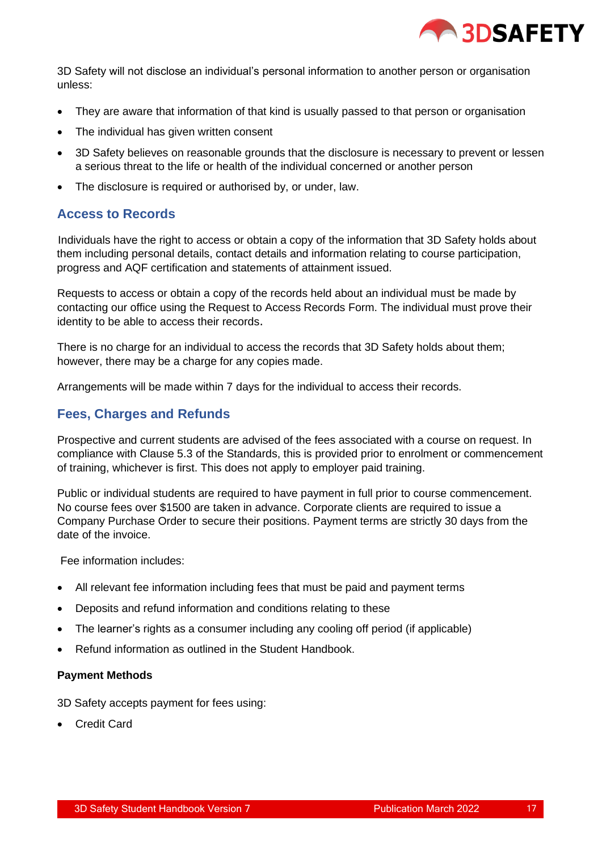

3D Safety will not disclose an individual's personal information to another person or organisation unless:

- They are aware that information of that kind is usually passed to that person or organisation
- The individual has given written consent
- 3D Safety believes on reasonable grounds that the disclosure is necessary to prevent or lessen a serious threat to the life or health of the individual concerned or another person
- The disclosure is required or authorised by, or under, law.

# <span id="page-16-0"></span>**Access to Records**

 Individuals have the right to access or obtain a copy of the information that 3D Safety holds about them including personal details, contact details and information relating to course participation, progress and AQF certification and statements of attainment issued.

Requests to access or obtain a copy of the records held about an individual must be made by contacting our office using the Request to Access Records Form. The individual must prove their identity to be able to access their records.

There is no charge for an individual to access the records that 3D Safety holds about them; however, there may be a charge for any copies made.

Arrangements will be made within 7 days for the individual to access their records.

# <span id="page-16-1"></span>**Fees, Charges and Refunds**

Prospective and current students are advised of the fees associated with a course on request. In compliance with Clause 5.3 of the Standards, this is provided prior to enrolment or commencement of training, whichever is first. This does not apply to employer paid training.

Public or individual students are required to have payment in full prior to course commencement. No course fees over \$1500 are taken in advance. Corporate clients are required to issue a Company Purchase Order to secure their positions. Payment terms are strictly 30 days from the date of the invoice.

Fee information includes:

- All relevant fee information including fees that must be paid and payment terms
- Deposits and refund information and conditions relating to these
- The learner's rights as a consumer including any cooling off period (if applicable)
- Refund information as outlined in the Student Handbook.

#### **Payment Methods**

3D Safety accepts payment for fees using:

• Credit Card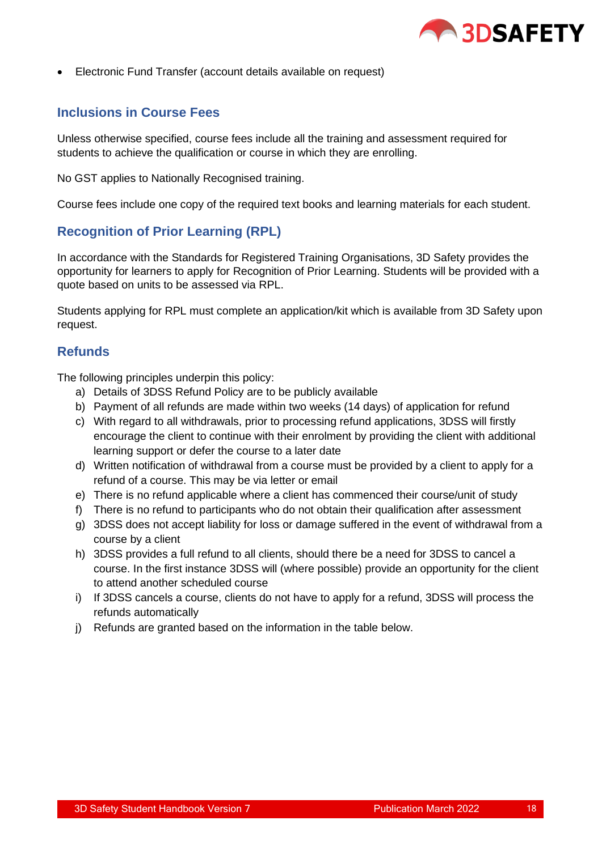

• Electronic Fund Transfer (account details available on request)

# <span id="page-17-0"></span>**Inclusions in Course Fees**

Unless otherwise specified, course fees include all the training and assessment required for students to achieve the qualification or course in which they are enrolling.

No GST applies to Nationally Recognised training.

Course fees include one copy of the required text books and learning materials for each student.

# <span id="page-17-1"></span>**Recognition of Prior Learning (RPL)**

In accordance with the Standards for Registered Training Organisations, 3D Safety provides the opportunity for learners to apply for Recognition of Prior Learning. Students will be provided with a quote based on units to be assessed via RPL.

Students applying for RPL must complete an application/kit which is available from 3D Safety upon request.

#### <span id="page-17-2"></span>**Refunds**

<span id="page-17-3"></span>The following principles underpin this policy:

- a) Details of 3DSS Refund Policy are to be publicly available
- b) Payment of all refunds are made within two weeks (14 days) of application for refund
- c) With regard to all withdrawals, prior to processing refund applications, 3DSS will firstly encourage the client to continue with their enrolment by providing the client with additional learning support or defer the course to a later date
- d) Written notification of withdrawal from a course must be provided by a client to apply for a refund of a course. This may be via letter or email
- e) There is no refund applicable where a client has commenced their course/unit of study
- f) There is no refund to participants who do not obtain their qualification after assessment
- g) 3DSS does not accept liability for loss or damage suffered in the event of withdrawal from a course by a client
- h) 3DSS provides a full refund to all clients, should there be a need for 3DSS to cancel a course. In the first instance 3DSS will (where possible) provide an opportunity for the client to attend another scheduled course
- i) If 3DSS cancels a course, clients do not have to apply for a refund, 3DSS will process the refunds automatically
- j) Refunds are granted based on the information in the table below.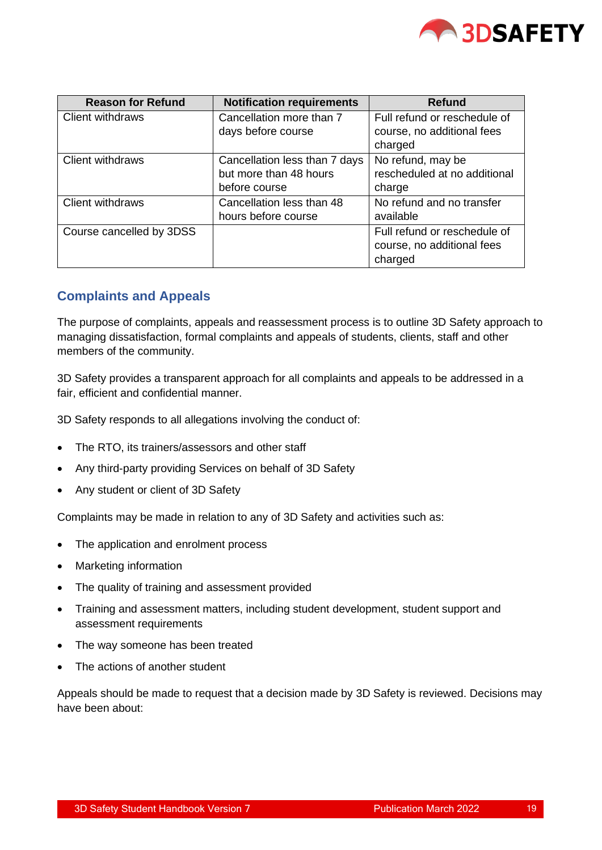

| <b>Reason for Refund</b> | <b>Notification requirements</b> | <b>Refund</b>                |
|--------------------------|----------------------------------|------------------------------|
| <b>Client withdraws</b>  | Cancellation more than 7         | Full refund or reschedule of |
|                          | days before course               | course, no additional fees   |
|                          |                                  | charged                      |
| Client withdraws         | Cancellation less than 7 days    | No refund, may be            |
|                          | but more than 48 hours           | rescheduled at no additional |
|                          | before course                    | charge                       |
| Client withdraws         | Cancellation less than 48        | No refund and no transfer    |
|                          | hours before course              | available                    |
| Course cancelled by 3DSS |                                  | Full refund or reschedule of |
|                          |                                  | course, no additional fees   |
|                          |                                  | charged                      |

# **Complaints and Appeals**

The purpose of complaints, appeals and reassessment process is to outline 3D Safety approach to managing dissatisfaction, formal complaints and appeals of students, clients, staff and other members of the community.

3D Safety provides a transparent approach for all complaints and appeals to be addressed in a fair, efficient and confidential manner.

3D Safety responds to all allegations involving the conduct of:

- The RTO, its trainers/assessors and other staff
- Any third-party providing Services on behalf of 3D Safety
- Any student or client of 3D Safety

Complaints may be made in relation to any of 3D Safety and activities such as:

- The application and enrolment process
- Marketing information
- The quality of training and assessment provided
- Training and assessment matters, including student development, student support and assessment requirements
- The way someone has been treated
- The actions of another student

Appeals should be made to request that a decision made by 3D Safety is reviewed. Decisions may have been about: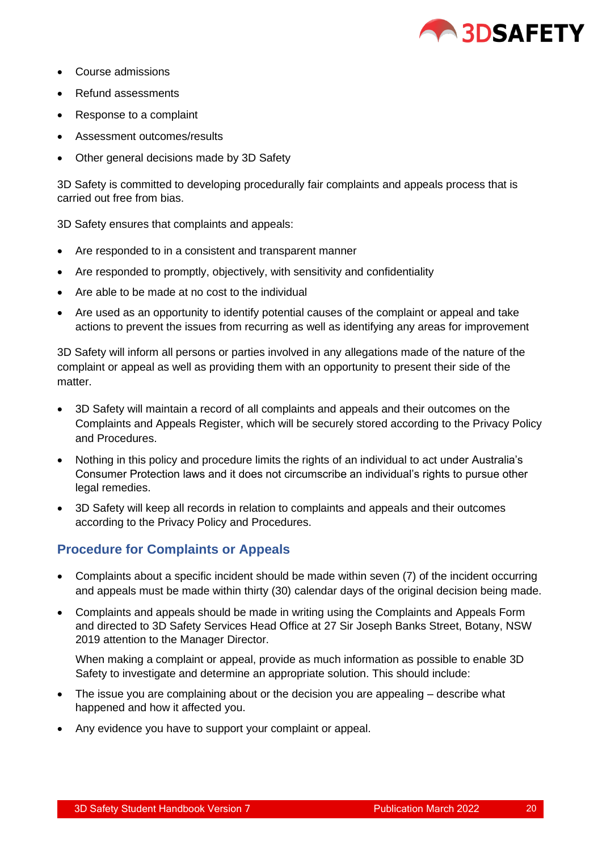

- Course admissions
- Refund assessments
- Response to a complaint
- Assessment outcomes/results
- Other general decisions made by 3D Safety

3D Safety is committed to developing procedurally fair complaints and appeals process that is carried out free from bias.

3D Safety ensures that complaints and appeals:

- Are responded to in a consistent and transparent manner
- Are responded to promptly, objectively, with sensitivity and confidentiality
- Are able to be made at no cost to the individual
- Are used as an opportunity to identify potential causes of the complaint or appeal and take actions to prevent the issues from recurring as well as identifying any areas for improvement

3D Safety will inform all persons or parties involved in any allegations made of the nature of the complaint or appeal as well as providing them with an opportunity to present their side of the matter.

- 3D Safety will maintain a record of all complaints and appeals and their outcomes on the Complaints and Appeals Register, which will be securely stored according to the Privacy Policy and Procedures.
- Nothing in this policy and procedure limits the rights of an individual to act under Australia's Consumer Protection laws and it does not circumscribe an individual's rights to pursue other legal remedies.
- 3D Safety will keep all records in relation to complaints and appeals and their outcomes according to the Privacy Policy and Procedures.

# <span id="page-19-0"></span>**Procedure for Complaints or Appeals**

- Complaints about a specific incident should be made within seven (7) of the incident occurring and appeals must be made within thirty (30) calendar days of the original decision being made.
- Complaints and appeals should be made in writing using the Complaints and Appeals Form and directed to 3D Safety Services Head Office at 27 Sir Joseph Banks Street, Botany, NSW 2019 attention to the Manager Director.

When making a complaint or appeal, provide as much information as possible to enable 3D Safety to investigate and determine an appropriate solution. This should include:

- The issue you are complaining about or the decision you are appealing describe what happened and how it affected you.
- Any evidence you have to support your complaint or appeal.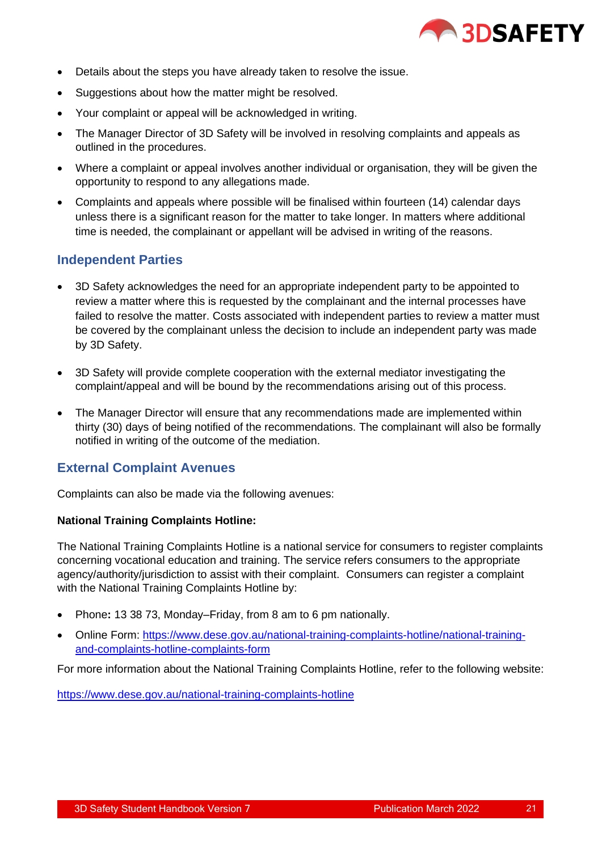

- Details about the steps you have already taken to resolve the issue.
- Suggestions about how the matter might be resolved.
- Your complaint or appeal will be acknowledged in writing.
- The Manager Director of 3D Safety will be involved in resolving complaints and appeals as outlined in the procedures.
- Where a complaint or appeal involves another individual or organisation, they will be given the opportunity to respond to any allegations made.
- Complaints and appeals where possible will be finalised within fourteen (14) calendar days unless there is a significant reason for the matter to take longer. In matters where additional time is needed, the complainant or appellant will be advised in writing of the reasons.

# <span id="page-20-0"></span>**Independent Parties**

- 3D Safety acknowledges the need for an appropriate independent party to be appointed to review a matter where this is requested by the complainant and the internal processes have failed to resolve the matter. Costs associated with independent parties to review a matter must be covered by the complainant unless the decision to include an independent party was made by 3D Safety.
- 3D Safety will provide complete cooperation with the external mediator investigating the complaint/appeal and will be bound by the recommendations arising out of this process.
- The Manager Director will ensure that any recommendations made are implemented within thirty (30) days of being notified of the recommendations. The complainant will also be formally notified in writing of the outcome of the mediation.

# <span id="page-20-1"></span>**External Complaint Avenues**

Complaints can also be made via the following avenues:

#### **National Training Complaints Hotline:**

The National Training Complaints Hotline is a national service for consumers to register complaints concerning vocational education and training. The service refers consumers to the appropriate agency/authority/jurisdiction to assist with their complaint. Consumers can register a complaint with the National Training Complaints Hotline by:

- Phone**:** 13 38 73, Monday–Friday, from 8 am to 6 pm nationally.
- Online Form: https://www.dese.gov.au/national-training-complaints-hotline/national-trainingand-complaints-hotline-complaints-form

For more information about the National Training Complaints Hotline, refer to the following website:

https://www.dese.gov.au/national-training-complaints-hotline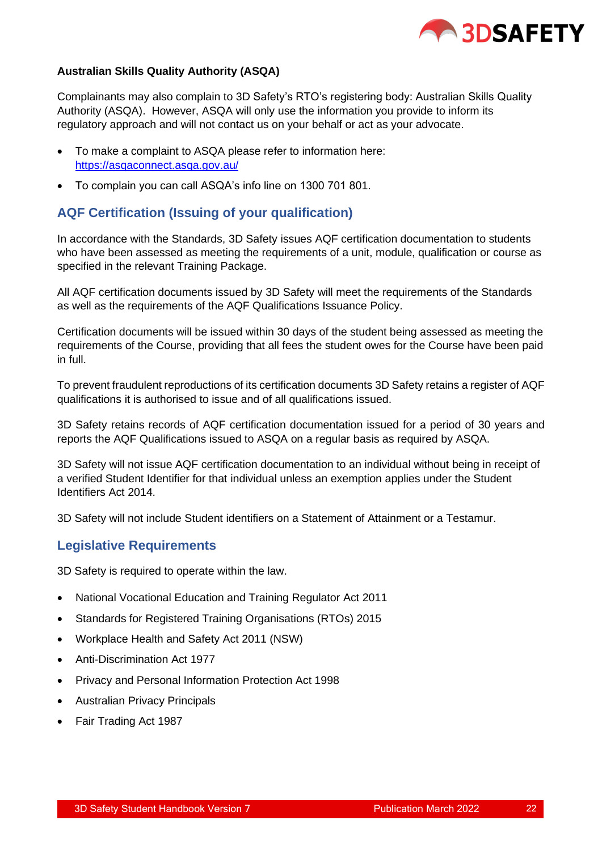

#### **Australian Skills Quality Authority (ASQA)**

Complainants may also complain to 3D Safety's RTO's registering body: Australian Skills Quality Authority (ASQA). However, ASQA will only use the information you provide to inform its regulatory approach and will not contact us on your behalf or act as your advocate.

- To make a complaint to ASQA please refer to information here: https://asqaconnect.asqa.gov.au/
- To complain you can call ASQA's info line on 1300 701 801.

# <span id="page-21-0"></span>**AQF Certification (Issuing of your qualification)**

In accordance with the Standards, 3D Safety issues AQF certification documentation to students who have been assessed as meeting the requirements of a unit, module, qualification or course as specified in the relevant Training Package.

All AQF certification documents issued by 3D Safety will meet the requirements of the Standards as well as the requirements of the AQF Qualifications Issuance Policy.

Certification documents will be issued within 30 days of the student being assessed as meeting the requirements of the Course, providing that all fees the student owes for the Course have been paid in full.

To prevent fraudulent reproductions of its certification documents 3D Safety retains a register of AQF qualifications it is authorised to issue and of all qualifications issued.

3D Safety retains records of AQF certification documentation issued for a period of 30 years and reports the AQF Qualifications issued to ASQA on a regular basis as required by ASQA.

3D Safety will not issue AQF certification documentation to an individual without being in receipt of a verified Student Identifier for that individual unless an exemption applies under the Student Identifiers Act 2014.

3D Safety will not include Student identifiers on a Statement of Attainment or a Testamur.

# <span id="page-21-1"></span>**Legislative Requirements**

3D Safety is required to operate within the law.

- National Vocational Education and Training Regulator Act 2011
- Standards for Registered Training Organisations (RTOs) 2015
- Workplace Health and Safety Act 2011 (NSW)
- Anti-Discrimination Act 1977
- Privacy and Personal Information Protection Act 1998
- Australian Privacy Principals
- Fair Trading Act 1987